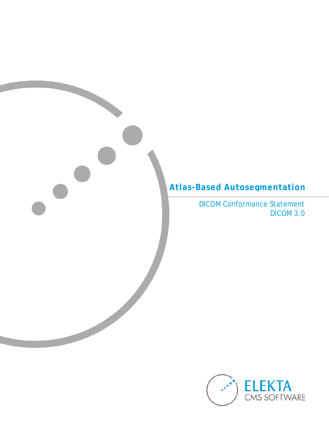# **Atlas-Based Autosegmentation**

DICOM Conformance Statement DICOM 3.0

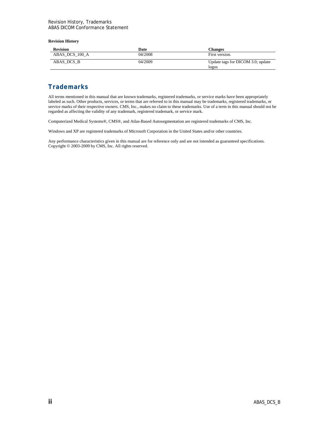#### **Revision History**

| First version.                             |
|--------------------------------------------|
|                                            |
| Update tags for DICOM 3.0; update<br>logos |
|                                            |

### **Trademarks**

All terms mentioned in this manual that are known trademarks, registered trademarks, or service marks have been appropriately labeled as such. Other products, services, or terms that are referred to in this manual may be trademarks, registered trademarks, or service marks of their respective owners. CMS, Inc., makes no claim to these trademarks. Use of a term in this manual should not be regarded as affecting the validity of any trademark, registered trademark, or service mark.

Computerized Medical Systems®, CMS®, and Atlas-Based Autosegmentation are registered trademarks of CMS, Inc.

Windows and XP are registered trademarks of Microsoft Corporation in the United States and/or other countries.

Any performance characteristics given in this manual are for reference only and are not intended as guaranteed specifications. Copyright © 2003-2009 by CMS, Inc. All rights reserved.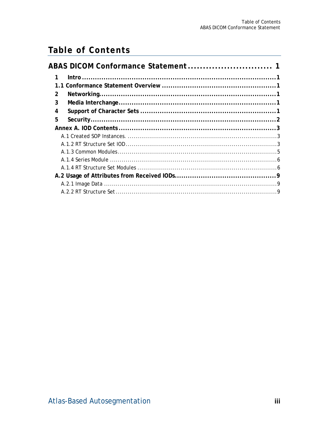# **Table of Contents**

| $\mathcal{P}$ |  |
|---------------|--|
| 3             |  |
| 4             |  |
| 5             |  |
|               |  |
|               |  |
|               |  |
|               |  |
|               |  |
|               |  |
|               |  |
|               |  |
|               |  |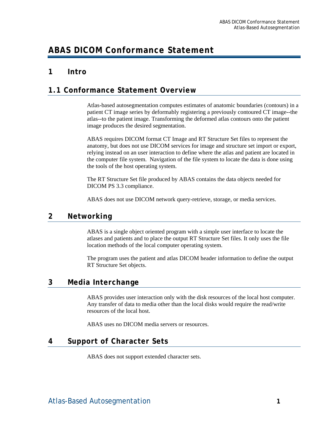# <span id="page-3-0"></span>**ABAS DICOM Conformance Statement**

# **1 Intro**

# **1.1 Conformance Statement Overview**

Atlas-based autosegmentation computes estimates of anatomic boundaries (contours) in a patient CT image series by deformably registering a previously contoured CT image--the atlas--to the patient image. Transforming the deformed atlas contours onto the patient image produces the desired segmentation.

ABAS requires DICOM format CT Image and RT Structure Set files to represent the anatomy, but does not use DICOM services for image and structure set import or export, relying instead on an user interaction to define where the atlas and patient are located in the computer file system. Navigation of the file system to locate the data is done using the tools of the host operating system.

The RT Structure Set file produced by ABAS contains the data objects needed for DICOM PS 3.3 compliance.

ABAS does not use DICOM network query-retrieve, storage, or media services.

# **2 Networking**

ABAS is a single object oriented program with a simple user interface to locate the atlases and patients and to place the output RT Structure Set files. It only uses the file location methods of the local computer operating system.

The program uses the patient and atlas DICOM header information to define the output RT Structure Set objects.

# **3 Media Interchange**

ABAS provides user interaction only with the disk resources of the local host computer. Any transfer of data to media other than the local disks would require the read/write resources of the local host.

ABAS uses no DICOM media servers or resources.

# **4 Support of Character Sets**

ABAS does not support extended character sets.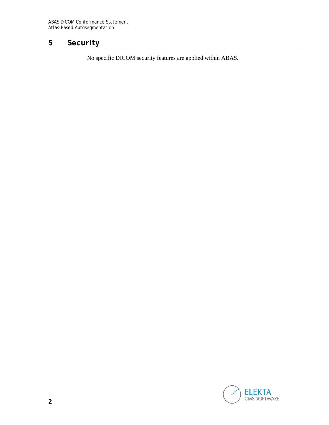# <span id="page-4-0"></span>**5 Security**

No specific DICOM security features are applied within ABAS.

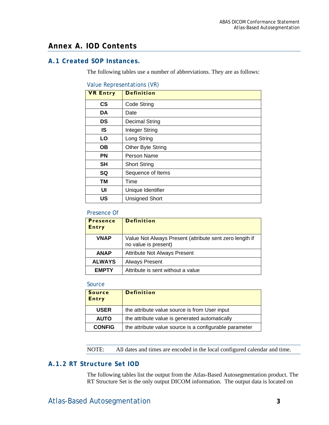# <span id="page-5-0"></span>**Annex A. IOD Contents**

### **A.1 Created SOP Instances.**

The following tables use a number of abbreviations. They are as follows:

#### Value Representations (VR)

| <b>VR Entry</b> | <b>Definition</b>     |
|-----------------|-----------------------|
| $\mathsf{cs}$   | Code String           |
| <b>DA</b>       | Date                  |
| DS              | <b>Decimal String</b> |
| IS              | Integer String        |
| LO              | Long String           |
| <b>OB</b>       | Other Byte String     |
| <b>PN</b>       | Person Name           |
| <b>SH</b>       | <b>Short String</b>   |
| SQ              | Sequence of Items     |
| <b>TM</b>       | Time                  |
| UI              | Unique Identifier     |
| <b>US</b>       | <b>Unsigned Short</b> |

#### Presence Of

| <b>Presence</b><br><b>Entry</b> | <b>Definition</b>                                                               |
|---------------------------------|---------------------------------------------------------------------------------|
| <b>VNAP</b>                     | Value Not Always Present (attribute sent zero length if<br>no value is present) |
| <b>ANAP</b>                     | <b>Attribute Not Always Present</b>                                             |
| <b>ALWAYS</b>                   | <b>Always Present</b>                                                           |
| <b>EMPTY</b>                    | Attribute is sent without a value                                               |

#### Source

| <b>Source</b><br><b>Entry</b> | <b>Definition</b>                                      |
|-------------------------------|--------------------------------------------------------|
| <b>USER</b>                   | the attribute value source is from User input          |
| <b>AUTO</b>                   | the attribute value is generated automatically         |
| <b>CONFIG</b>                 | the attribute value source is a configurable parameter |

NOTE: All dates and times are encoded in the local configured calendar and time.

### **A.1.2 RT Structure Set IOD**

The following tables list the output from the Atlas-Based Autosegmentation product. The RT Structure Set is the only output DICOM information. The output data is located on

# Atlas-Based Autosegmentation **3**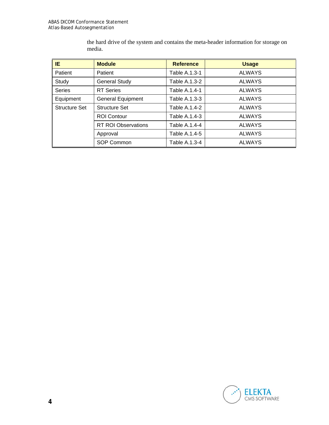the hard drive of the system and contains the meta-header information for storage on media.

| IE.           | <b>Module</b>              | <b>Reference</b> | <b>Usage</b>  |
|---------------|----------------------------|------------------|---------------|
| Patient       | Patient                    | Table A.1.3-1    | <b>ALWAYS</b> |
| Study         | <b>General Study</b>       | Table A.1.3-2    | <b>ALWAYS</b> |
| <b>Series</b> | <b>RT</b> Series           | Table A.1.4-1    | <b>ALWAYS</b> |
| Equipment     | <b>General Equipment</b>   | Table A.1.3-3    | <b>ALWAYS</b> |
| Structure Set | <b>Structure Set</b>       | Table A.1.4-2    | <b>ALWAYS</b> |
|               | <b>ROI Contour</b>         | Table A.1.4-3    | <b>ALWAYS</b> |
|               | <b>RT ROI Observations</b> | Table A.1.4-4    | <b>ALWAYS</b> |
|               | Approval                   | Table A.1.4-5    | <b>ALWAYS</b> |
|               | SOP Common                 | Table A.1.3-4    | <b>ALWAYS</b> |

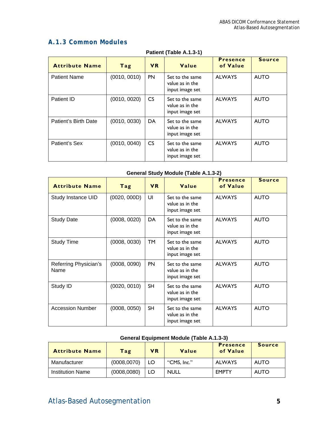# <span id="page-7-0"></span>**A.1.3 Common Modules**

| <b>Attribute Name</b> | Tag          | <b>VR</b>       | Value                                                 | <b>Presence</b><br>of Value | <b>Source</b> |  |  |
|-----------------------|--------------|-----------------|-------------------------------------------------------|-----------------------------|---------------|--|--|
| <b>Patient Name</b>   | (0010, 0010) | <b>PN</b>       | Set to the same<br>value as in the<br>input image set | <b>ALWAYS</b>               | <b>AUTO</b>   |  |  |
| Patient ID            | (0010, 0020) | CS <sub>1</sub> | Set to the same<br>value as in the<br>input image set | <b>ALWAYS</b>               | <b>AUTO</b>   |  |  |
| Patient's Birth Date  | (0010, 0030) | DA              | Set to the same<br>value as in the<br>input image set | <b>ALWAYS</b>               | <b>AUTO</b>   |  |  |
| Patient's Sex         | (0010, 0040) | CS <sub>1</sub> | Set to the same<br>value as in the<br>input image set | <b>ALWAYS</b>               | <b>AUTO</b>   |  |  |

#### **Patient (Table A.1.3-1)**

### **General Study Module (Table A.1.3-2)**

| <b>Attribute Name</b>         | Tag          | <b>VR</b> | Value                                                 | <b>Presence</b><br>of Value | <b>Source</b> |
|-------------------------------|--------------|-----------|-------------------------------------------------------|-----------------------------|---------------|
| Study Instance UID            | (0020, 000D) | UI        | Set to the same<br>value as in the<br>input image set | <b>ALWAYS</b>               | <b>AUTO</b>   |
| <b>Study Date</b>             | (0008, 0020) | DA        | Set to the same<br>value as in the<br>input image set | <b>ALWAYS</b>               | <b>AUTO</b>   |
| <b>Study Time</b>             | (0008, 0030) | <b>TM</b> | Set to the same<br>value as in the<br>input image set | <b>ALWAYS</b>               | <b>AUTO</b>   |
| Referring Physician's<br>Name | (0008, 0090) | <b>PN</b> | Set to the same<br>value as in the<br>input image set | <b>ALWAYS</b>               | <b>AUTO</b>   |
| Study ID                      | (0020, 0010) | <b>SH</b> | Set to the same<br>value as in the<br>input image set | <b>ALWAYS</b>               | <b>AUTO</b>   |
| <b>Accession Number</b>       | (0008, 0050) | <b>SH</b> | Set to the same<br>value as in the<br>input image set | <b>ALWAYS</b>               | <b>AUTO</b>   |

### **General Equipment Module (Table A.1.3-3)**

| <b>Attribute Name</b>   | Tag          | <b>VR</b> | Value       | <b>Presence</b><br>of Value | <b>Source</b> |
|-------------------------|--------------|-----------|-------------|-----------------------------|---------------|
| Manufacturer            | (0008, 0070) | LO        | "CMS, Inc." | <b>ALWAYS</b>               | <b>AUTO</b>   |
| <b>Institution Name</b> | (0008, 0080) | LO        | <b>NULL</b> | <b>EMPTY</b>                | <b>AUTO</b>   |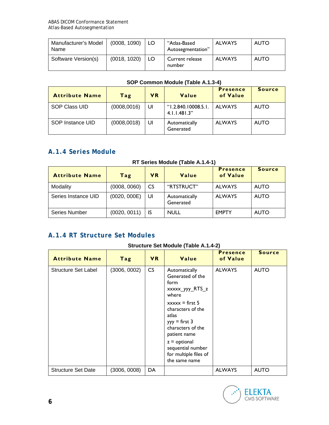<span id="page-8-0"></span>

| Manufacturer's Model<br>Name | (0008, 1090) | ' LO | "Atlas-Based<br>Autosegmentation" | <b>ALWAYS</b> | <b>AUTO</b> |
|------------------------------|--------------|------|-----------------------------------|---------------|-------------|
| Software Version(s)          | (0018, 1020) | LO.  | Current release<br>number         | <b>ALWAYS</b> | <b>AUTO</b> |

| <b>Attribute Name</b> | Tag          | <b>VR</b> | Value                                         | <b>Presence</b><br>of Value | <b>Source</b> |
|-----------------------|--------------|-----------|-----------------------------------------------|-----------------------------|---------------|
| SOP Class UID         | (0008,0016)  | UI        | $^{\circ}$ 1.2.840.10008.5.1.<br>4.1.1.481.3" | <b>ALWAYS</b>               | <b>AUTO</b>   |
| SOP Instance UID      | (0008, 0018) | UI        | Automatically<br>Generated                    | <b>ALWAYS</b>               | <b>AUTO</b>   |

# **A.1.4 Series Module**

### **RT Series Module (Table A.1.4-1)**

| <b>Attribute Name</b> | Tag          | <b>VR</b> | Value                      | <b>Presence</b><br>of Value | <b>Source</b> |
|-----------------------|--------------|-----------|----------------------------|-----------------------------|---------------|
| Modality              | (0008, 0060) | CS        | "RTSTRUCT"                 | <b>ALWAYS</b>               | <b>AUTO</b>   |
| Series Instance UID   | (0020, 000E) | UI        | Automatically<br>Generated | <b>ALWAYS</b>               | <b>AUTO</b>   |
| <b>Series Number</b>  | (0020, 0011) | IS        | <b>NULL</b>                | <b>EMPTY</b>                | <b>AUTO</b>   |

# **A.1.4 RT Structure Set Modules**

### **Structure Set Module (Table A.1.4-2)**

| <b>Attribute Name</b>     | Tag          | <b>VR</b> | Value                                                                                                  | <b>Presence</b><br>of Value | <b>Source</b> |
|---------------------------|--------------|-----------|--------------------------------------------------------------------------------------------------------|-----------------------------|---------------|
| Structure Set Label       | (3006, 0002) | CS        | Automatically<br>Generated of the<br>form<br>xxxxx_yyy_RTS_z<br>where                                  | <b>ALWAYS</b>               | <b>AUTO</b>   |
|                           |              |           | $xxxx = first 5$<br>characters of the<br>atlas<br>$yyy = first 3$<br>characters of the<br>patient name |                             |               |
|                           |              |           | $z =$ optional<br>sequential number<br>for multiple files of<br>the same name                          |                             |               |
| <b>Structure Set Date</b> | (3006, 0008) | DA        |                                                                                                        | <b>ALWAYS</b>               | <b>AUTO</b>   |

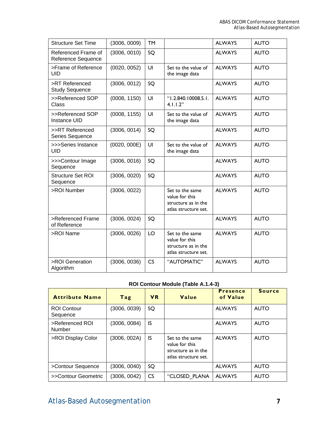| <b>Structure Set Time</b>                 | (3006, 0009) | <b>TM</b> |                                                                                  | <b>ALWAYS</b> | <b>AUTO</b> |
|-------------------------------------------|--------------|-----------|----------------------------------------------------------------------------------|---------------|-------------|
| Referenced Frame of<br>Reference Sequence | (3006, 0010) | SQ        |                                                                                  | <b>ALWAYS</b> | <b>AUTO</b> |
| >Frame of Reference<br><b>UID</b>         | (0020, 0052) | UI        | Set to the value of<br>the image data                                            | <b>ALWAYS</b> | <b>AUTO</b> |
| >RT Referenced<br><b>Study Sequence</b>   | (3006, 0012) | SQ        |                                                                                  | <b>ALWAYS</b> | <b>AUTO</b> |
| >>Referenced SOP<br><b>Class</b>          | (0008, 1150) | UI        | "1.2.840.10008.5.1.<br>4.1.1.2"                                                  | <b>ALWAYS</b> | <b>AUTO</b> |
| >>Referenced SOP<br><b>Instance UID</b>   | (0008, 1155) | UI        | Set to the value of<br>the image data                                            | <b>ALWAYS</b> | <b>AUTO</b> |
| >>RT Referenced<br>Series Sequence        | (3006, 0014) | SO        |                                                                                  | <b>ALWAYS</b> | <b>AUTO</b> |
| >>>Series Instance<br><b>UID</b>          | (0020, 000E) | UI        | Set to the value of<br>the image data                                            | <b>ALWAYS</b> | <b>AUTO</b> |
| >>>Contour Image<br>Sequence              | (3006, 0016) | SQ        |                                                                                  | <b>ALWAYS</b> | <b>AUTO</b> |
| Structure Set ROI<br>Sequence             | (3006, 0020) | SQ        |                                                                                  | <b>ALWAYS</b> | <b>AUTO</b> |
| >ROI Number                               | (3006, 0022) |           | Set to the same<br>value for this<br>structure as in the<br>atlas structure set. | <b>ALWAYS</b> | <b>AUTO</b> |
| >Referenced Frame<br>of Reference         | (3006, 0024) | SQ        |                                                                                  | <b>ALWAYS</b> | <b>AUTO</b> |
| >ROI Name                                 | (3006, 0026) | LO        | Set to the same<br>value for this<br>structure as in the<br>atlas structure set. | <b>ALWAYS</b> | <b>AUTO</b> |
| >ROI Generation<br>Algorithm              | (3006, 0036) | CS        | "AUTOMATIC"                                                                      | <b>ALWAYS</b> | <b>AUTO</b> |

### **ROI Contour Module (Table A.1.4-3)**

| <b>Attribute Name</b>          | Tag          | <b>VR</b> | Value                                                                            | <b>Presence</b><br>of Value | <b>Source</b> |
|--------------------------------|--------------|-----------|----------------------------------------------------------------------------------|-----------------------------|---------------|
| <b>ROI Contour</b><br>Sequence | (3006, 0039) | SQ        |                                                                                  | <b>ALWAYS</b>               | <b>AUTO</b>   |
| >Referenced ROI<br>Number      | (3006, 0084) | IS        |                                                                                  | <b>ALWAYS</b>               | <b>AUTO</b>   |
| >ROI Display Color             | (3006, 002A) | IS        | Set to the same<br>value for this<br>structure as in the<br>atlas structure set. | <b>ALWAYS</b>               | <b>AUTO</b>   |
| >Contour Sequence              | (3006, 0040) | SQ        |                                                                                  | <b>ALWAYS</b>               | <b>AUTO</b>   |
| >>Contour Geometric            | (3006, 0042) | <b>CS</b> | "CLOSED PLANA                                                                    | <b>ALWAYS</b>               | <b>AUTO</b>   |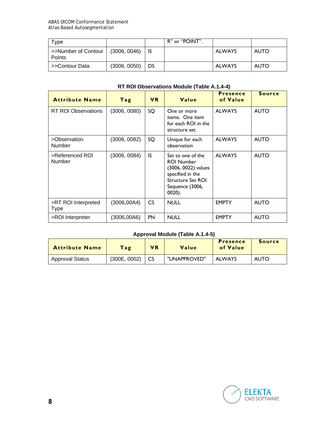| Tvpe                          |              |           | R" or "POINT". |               |             |
|-------------------------------|--------------|-----------|----------------|---------------|-------------|
| >>Number of Contour<br>Points | (3006, 0046) |           |                | <b>ALWAYS</b> | <b>AUTO</b> |
| >>Contour Data                | (3006, 0050) | <b>DS</b> |                | <b>ALWAYS</b> | <b>AUTO</b> |

# **RT ROI Observations Module (Table A.1.4-4)**

| <b>Attribute Name</b>              | Tag          | <b>VR</b>                                                                     | Value                                                                                                                                      | <b>Presence</b><br>of Value | <b>Source</b> |
|------------------------------------|--------------|-------------------------------------------------------------------------------|--------------------------------------------------------------------------------------------------------------------------------------------|-----------------------------|---------------|
| <b>RT ROI Observations</b>         | (3006, 0080) | SQ<br>One or more<br>items. One item<br>for each ROI in the<br>structure set. |                                                                                                                                            | <b>ALWAYS</b>               | <b>AUTO</b>   |
| >Observation<br>Number             | (3006, 0082) | SQ                                                                            | Unique for each<br>observation                                                                                                             | <b>ALWAYS</b>               | <b>AUTO</b>   |
| >Referenced ROI<br>Number          | (3006, 0084) | IS                                                                            | Set to one of the<br><b>ROI Number</b><br>(3006, 0022) values<br>specified in the<br><b>Structure Set ROI</b><br>Sequence (3006,<br>0020). | <b>ALWAYS</b>               | <b>AUTO</b>   |
| >RT ROI Interpreted<br><b>Type</b> | (3006, 00A4) | CS                                                                            | <b>NULL</b>                                                                                                                                | <b>EMPTY</b>                | <b>AUTO</b>   |
| >ROI Interpreter                   | (3006,00A6)  | <b>PN</b>                                                                     | <b>NULL</b>                                                                                                                                | <b>EMPTY</b>                | <b>AUTO</b>   |

# **Approval Module (Table A.1.4-5)**

| <b>Attribute Name</b>  | Tag          | <b>VR</b> | Value        | <b>Presence</b><br>of Value | <b>Source</b> |
|------------------------|--------------|-----------|--------------|-----------------------------|---------------|
| <b>Approval Status</b> | (300E, 0002) |           | "UNAPPROVED" | <b>ALWAYS</b>               | <b>AUTO</b>   |